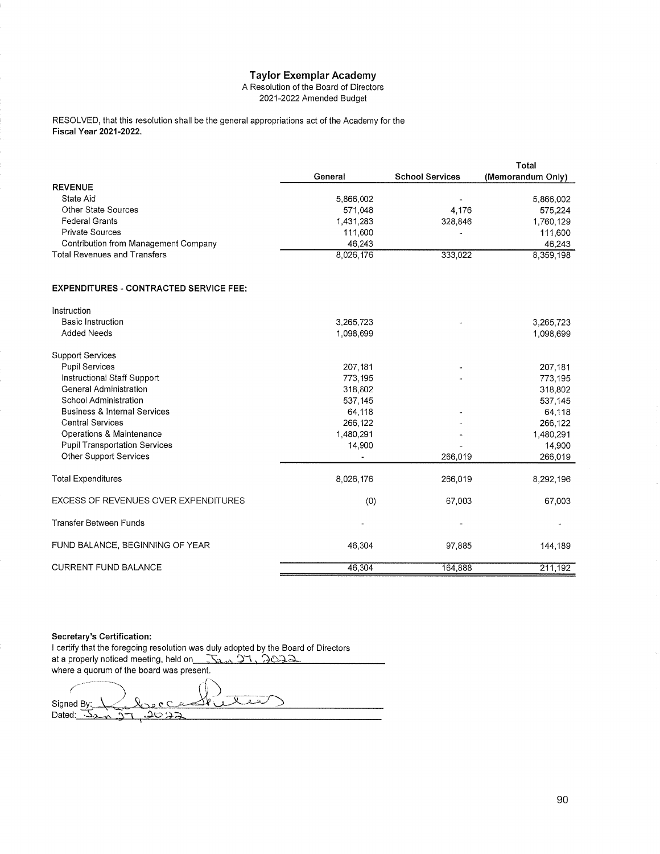## **Taylor Exemplar Academy**

A Resolution of the Board of Directors 2021-2022 Amended Budget

RESOLVED, that this resolution shall be the general appropriations act of the Academy for the Fiscal Year 2021-2022.

|                                               |           |                        | Total             |
|-----------------------------------------------|-----------|------------------------|-------------------|
|                                               | General   | <b>School Services</b> | (Memorandum Only) |
| <b>REVENUE</b>                                |           |                        |                   |
| State Aid                                     | 5.866.002 |                        | 5,866,002         |
| Other State Sources                           | 571.048   | 4.176                  | 575,224           |
| <b>Federal Grants</b>                         | 1,431,283 | 328,846                | 1,760,129         |
| <b>Private Sources</b>                        | 111,600   |                        | 111,600           |
| Contribution from Management Company          | 46.243    |                        | 46,243            |
| <b>Total Revenues and Transfers</b>           | 8,026,176 | 333,022                | 8,359,198         |
|                                               |           |                        |                   |
| <b>EXPENDITURES - CONTRACTED SERVICE FEE:</b> |           |                        |                   |
| Instruction                                   |           |                        |                   |

| <b>Basic Instruction</b>                | 3,265,723 |         | 3,265,723 |
|-----------------------------------------|-----------|---------|-----------|
| <b>Added Needs</b>                      | 1,098,699 |         | 1,098,699 |
| <b>Support Services</b>                 |           |         |           |
| <b>Pupil Services</b>                   | 207,181   |         | 207,181   |
| Instructional Staff Support             | 773.195   |         | 773,195   |
| General Administration                  | 318,802   |         | 318,802   |
| School Administration                   | 537,145   |         | 537,145   |
| <b>Business &amp; Internal Services</b> | 64,118    |         | 64,118    |
| <b>Central Services</b>                 | 266.122   |         | 266,122   |
| Operations & Maintenance                | 1,480,291 |         | 1,480,291 |
| <b>Pupil Transportation Services</b>    | 14,900    |         | 14,900    |
| Other Support Services                  |           | 266,019 | 266,019   |
| <b>Total Expenditures</b>               | 8,026,176 | 266,019 | 8,292,196 |
| EXCESS OF REVENUES OVER EXPENDITURES    | (0)       | 67,003  | 67,003    |
| Transfer Between Funds                  |           |         |           |
| FUND BALANCE, BEGINNING OF YEAR         | 46,304    | 97,885  | 144,189   |
| <b>CURRENT FUND BALANCE</b>             | 46.304    | 164,888 | 211,192   |

Secretary's Certification:

I certify that the foregoing resolution was duly adopted by the Board of Directors at a properly noticed meeting, held on 5. 21, 2022 where a quorum of the board was present.

灭 سحنف Signed By:  $\mathfrak{g}$ Dated:  $\overline{\Delta}_{2}$ <u> သဘေခ</u>  $\Delta$  $\sim$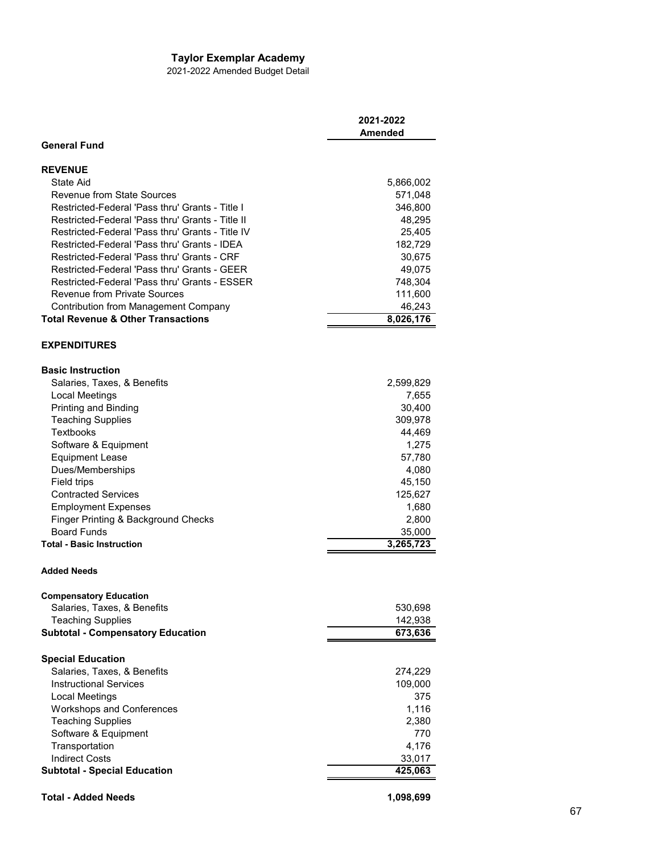## **Taylor Exemplar Academy**

2021-2022 Amended Budget Detail

|                                                  | 2021-2022<br><b>Amended</b> |
|--------------------------------------------------|-----------------------------|
| <b>General Fund</b>                              |                             |
| <b>REVENUE</b>                                   |                             |
| State Aid                                        | 5,866,002                   |
| Revenue from State Sources                       | 571,048                     |
| Restricted-Federal 'Pass thru' Grants - Title I  | 346,800                     |
| Restricted-Federal 'Pass thru' Grants - Title II | 48,295                      |
| Restricted-Federal 'Pass thru' Grants - Title IV | 25,405                      |
| Restricted-Federal 'Pass thru' Grants - IDEA     | 182,729                     |
| Restricted-Federal 'Pass thru' Grants - CRF      | 30,675                      |
| Restricted-Federal 'Pass thru' Grants - GEER     | 49,075                      |
| Restricted-Federal 'Pass thru' Grants - ESSER    | 748,304                     |
| <b>Revenue from Private Sources</b>              | 111,600                     |
| Contribution from Management Company             | 46,243                      |
| <b>Total Revenue &amp; Other Transactions</b>    | 8,026,176                   |
| <b>EXPENDITURES</b>                              |                             |
| <b>Basic Instruction</b>                         |                             |
| Salaries, Taxes, & Benefits                      | 2,599,829                   |
| Local Meetings                                   | 7,655                       |
| Printing and Binding                             | 30,400                      |
| <b>Teaching Supplies</b>                         | 309,978                     |
| Textbooks                                        | 44,469                      |
| Software & Equipment                             | 1,275                       |
| <b>Equipment Lease</b>                           | 57,780                      |
| Dues/Memberships                                 | 4,080                       |
| Field trips                                      | 45,150                      |
| <b>Contracted Services</b>                       | 125,627                     |
| <b>Employment Expenses</b>                       | 1,680                       |
| Finger Printing & Background Checks              | 2,800                       |
| <b>Board Funds</b>                               | 35,000                      |
| <b>Total - Basic Instruction</b>                 | 3,265,723                   |
| <b>Added Needs</b>                               |                             |
| <b>Compensatory Education</b>                    |                             |
| Salaries, Taxes, & Benefits                      | 530,698                     |
| <b>Teaching Supplies</b>                         | 142,938                     |
| <b>Subtotal - Compensatory Education</b>         | 673,636                     |
| <b>Special Education</b>                         |                             |
| Salaries, Taxes, & Benefits                      | 274,229                     |
| <b>Instructional Services</b>                    | 109,000                     |
| Local Meetings                                   | 375                         |
| <b>Workshops and Conferences</b>                 | 1,116                       |
| <b>Teaching Supplies</b>                         | 2,380                       |
| Software & Equipment                             | 770                         |
| Transportation                                   | 4,176                       |
| <b>Indirect Costs</b>                            | 33,017                      |
| <b>Subtotal - Special Education</b>              | 425,063                     |
| <b>Total - Added Needs</b>                       | 1,098,699                   |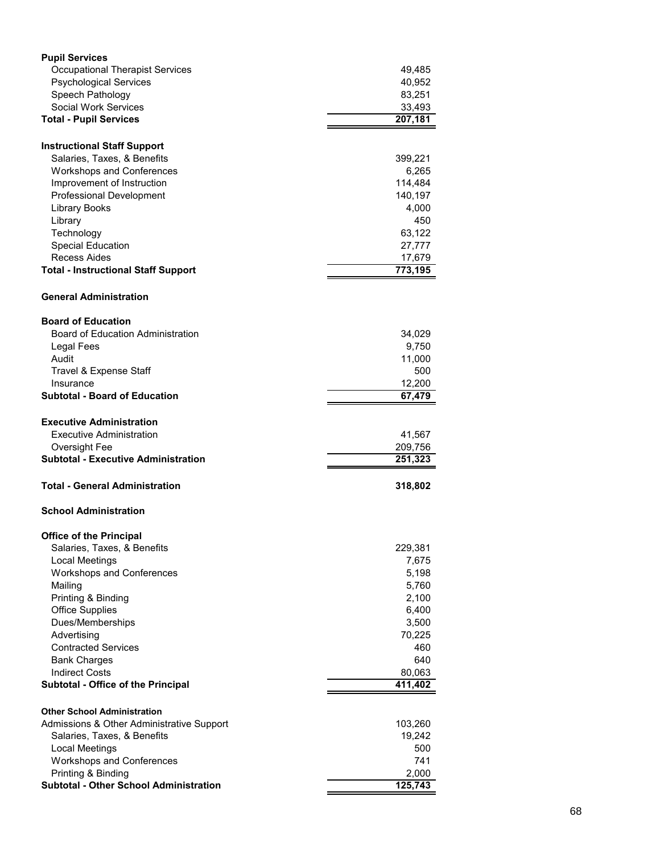| <b>Occupational Therapist Services</b><br>49,485<br><b>Psychological Services</b>  | 40,952 |
|------------------------------------------------------------------------------------|--------|
|                                                                                    |        |
|                                                                                    |        |
| Speech Pathology<br>83,251                                                         |        |
| <b>Social Work Services</b><br>33,493                                              |        |
| <b>Total - Pupil Services</b><br>207,181                                           |        |
|                                                                                    |        |
| <b>Instructional Staff Support</b>                                                 |        |
| Salaries, Taxes, & Benefits<br>399,221                                             |        |
| <b>Workshops and Conferences</b><br>6,265<br>114,484<br>Improvement of Instruction |        |
| <b>Professional Development</b><br>140,197                                         |        |
| 4,000<br>Library Books                                                             |        |
| Library                                                                            | 450    |
| 63,122<br>Technology                                                               |        |
| <b>Special Education</b><br>27,777                                                 |        |
| <b>Recess Aides</b><br>17,679                                                      |        |
| 773,195<br><b>Total - Instructional Staff Support</b>                              |        |
|                                                                                    |        |
| <b>General Administration</b>                                                      |        |
| <b>Board of Education</b>                                                          |        |
| <b>Board of Education Administration</b><br>34,029                                 |        |
| Legal Fees<br>9,750                                                                |        |
| Audit<br>11,000                                                                    |        |
| Travel & Expense Staff                                                             | 500    |
| 12,200<br>Insurance                                                                |        |
| <b>Subtotal - Board of Education</b><br>67,479                                     |        |
|                                                                                    |        |
| <b>Executive Administration</b>                                                    |        |
| <b>Executive Administration</b><br>41,567                                          |        |
| Oversight Fee<br>209,756                                                           |        |
| <b>Subtotal - Executive Administration</b><br>251,323                              |        |
| Total - General Administration<br>318,802                                          |        |
| <b>School Administration</b>                                                       |        |
| <b>Office of the Principal</b>                                                     |        |
| Salaries, Taxes, & Benefits<br>229,381                                             |        |
| Local Meetings<br>7,675                                                            |        |
| <b>Workshops and Conferences</b><br>5,198                                          |        |
| Mailing<br>5,760                                                                   |        |
| Printing & Binding<br>2,100                                                        |        |
| <b>Office Supplies</b><br>6,400                                                    |        |
| Dues/Memberships<br>3,500                                                          |        |
| Advertising<br>70,225                                                              |        |
| <b>Contracted Services</b>                                                         | 460    |
| <b>Bank Charges</b>                                                                | 640    |
| <b>Indirect Costs</b><br>80,063                                                    |        |
| <b>Subtotal - Office of the Principal</b><br>411,402                               |        |
| <b>Other School Administration</b>                                                 |        |
| Admissions & Other Administrative Support<br>103,260                               |        |
| Salaries, Taxes, & Benefits<br>19,242                                              |        |
| Local Meetings                                                                     | 500    |
| <b>Workshops and Conferences</b>                                                   | 741    |
| Printing & Binding<br>2,000                                                        |        |
| <b>Subtotal - Other School Administration</b><br>125,743                           |        |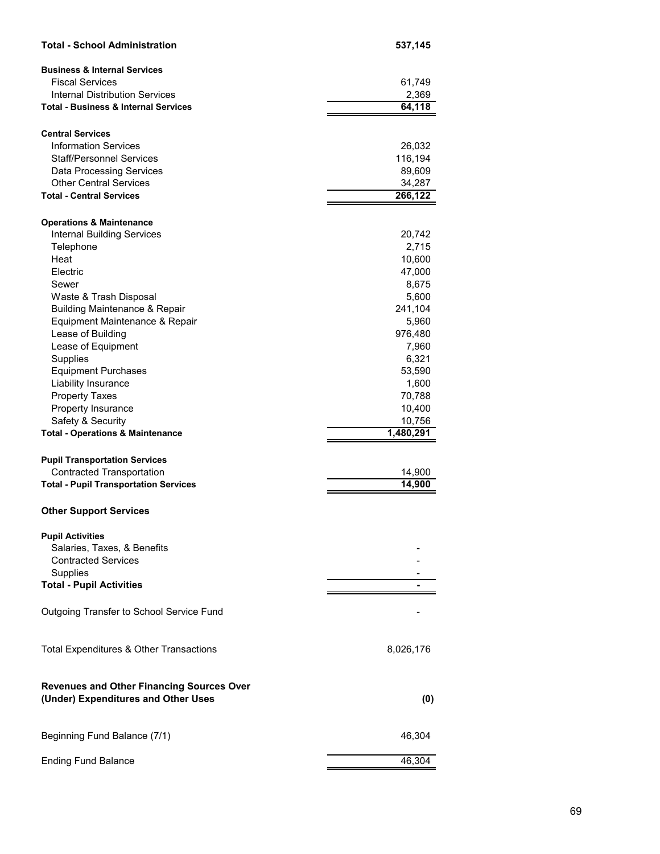| <b>Business &amp; Internal Services</b><br><b>Fiscal Services</b><br>61,749<br><b>Internal Distribution Services</b><br>2,369<br><b>Total - Business &amp; Internal Services</b><br>64,118<br><b>Central Services</b><br><b>Information Services</b><br>26,032<br><b>Staff/Personnel Services</b><br>116,194<br><b>Data Processing Services</b><br>89,609<br><b>Other Central Services</b><br>34,287<br><b>Total - Central Services</b><br>266,122<br><b>Operations &amp; Maintenance</b><br><b>Internal Building Services</b><br>20,742<br>2,715<br>Telephone<br>Heat<br>10,600<br>Electric<br>47,000<br>8,675<br>Sewer<br>Waste & Trash Disposal<br>5,600<br><b>Building Maintenance &amp; Repair</b><br>241,104<br>Equipment Maintenance & Repair<br>5,960<br>Lease of Building<br>976,480<br>Lease of Equipment<br>7,960<br>Supplies<br>6,321<br><b>Equipment Purchases</b><br>53,590<br>Liability Insurance<br>1,600<br><b>Property Taxes</b><br>70,788<br>Property Insurance<br>10,400<br>Safety & Security<br>10,756<br>1,480,291<br><b>Total - Operations &amp; Maintenance</b><br><b>Pupil Transportation Services</b><br><b>Contracted Transportation</b><br>14,900<br>14,900<br><b>Total - Pupil Transportation Services</b><br><b>Other Support Services</b><br><b>Pupil Activities</b><br>Salaries, Taxes, & Benefits<br><b>Contracted Services</b><br>Supplies<br><b>Total - Pupil Activities</b><br>Outgoing Transfer to School Service Fund<br>Total Expenditures & Other Transactions<br>8,026,176<br><b>Revenues and Other Financing Sources Over</b><br>(Under) Expenditures and Other Uses<br>(0)<br>Beginning Fund Balance (7/1)<br>46,304 | <b>Total - School Administration</b> | 537,145 |
|-----------------------------------------------------------------------------------------------------------------------------------------------------------------------------------------------------------------------------------------------------------------------------------------------------------------------------------------------------------------------------------------------------------------------------------------------------------------------------------------------------------------------------------------------------------------------------------------------------------------------------------------------------------------------------------------------------------------------------------------------------------------------------------------------------------------------------------------------------------------------------------------------------------------------------------------------------------------------------------------------------------------------------------------------------------------------------------------------------------------------------------------------------------------------------------------------------------------------------------------------------------------------------------------------------------------------------------------------------------------------------------------------------------------------------------------------------------------------------------------------------------------------------------------------------------------------------------------------------------------------------------------------------------------|--------------------------------------|---------|
|                                                                                                                                                                                                                                                                                                                                                                                                                                                                                                                                                                                                                                                                                                                                                                                                                                                                                                                                                                                                                                                                                                                                                                                                                                                                                                                                                                                                                                                                                                                                                                                                                                                                 |                                      |         |
|                                                                                                                                                                                                                                                                                                                                                                                                                                                                                                                                                                                                                                                                                                                                                                                                                                                                                                                                                                                                                                                                                                                                                                                                                                                                                                                                                                                                                                                                                                                                                                                                                                                                 |                                      |         |
|                                                                                                                                                                                                                                                                                                                                                                                                                                                                                                                                                                                                                                                                                                                                                                                                                                                                                                                                                                                                                                                                                                                                                                                                                                                                                                                                                                                                                                                                                                                                                                                                                                                                 |                                      |         |
|                                                                                                                                                                                                                                                                                                                                                                                                                                                                                                                                                                                                                                                                                                                                                                                                                                                                                                                                                                                                                                                                                                                                                                                                                                                                                                                                                                                                                                                                                                                                                                                                                                                                 |                                      |         |
|                                                                                                                                                                                                                                                                                                                                                                                                                                                                                                                                                                                                                                                                                                                                                                                                                                                                                                                                                                                                                                                                                                                                                                                                                                                                                                                                                                                                                                                                                                                                                                                                                                                                 |                                      |         |
|                                                                                                                                                                                                                                                                                                                                                                                                                                                                                                                                                                                                                                                                                                                                                                                                                                                                                                                                                                                                                                                                                                                                                                                                                                                                                                                                                                                                                                                                                                                                                                                                                                                                 |                                      |         |
|                                                                                                                                                                                                                                                                                                                                                                                                                                                                                                                                                                                                                                                                                                                                                                                                                                                                                                                                                                                                                                                                                                                                                                                                                                                                                                                                                                                                                                                                                                                                                                                                                                                                 |                                      |         |
|                                                                                                                                                                                                                                                                                                                                                                                                                                                                                                                                                                                                                                                                                                                                                                                                                                                                                                                                                                                                                                                                                                                                                                                                                                                                                                                                                                                                                                                                                                                                                                                                                                                                 |                                      |         |
|                                                                                                                                                                                                                                                                                                                                                                                                                                                                                                                                                                                                                                                                                                                                                                                                                                                                                                                                                                                                                                                                                                                                                                                                                                                                                                                                                                                                                                                                                                                                                                                                                                                                 |                                      |         |
|                                                                                                                                                                                                                                                                                                                                                                                                                                                                                                                                                                                                                                                                                                                                                                                                                                                                                                                                                                                                                                                                                                                                                                                                                                                                                                                                                                                                                                                                                                                                                                                                                                                                 |                                      |         |
|                                                                                                                                                                                                                                                                                                                                                                                                                                                                                                                                                                                                                                                                                                                                                                                                                                                                                                                                                                                                                                                                                                                                                                                                                                                                                                                                                                                                                                                                                                                                                                                                                                                                 |                                      |         |
|                                                                                                                                                                                                                                                                                                                                                                                                                                                                                                                                                                                                                                                                                                                                                                                                                                                                                                                                                                                                                                                                                                                                                                                                                                                                                                                                                                                                                                                                                                                                                                                                                                                                 |                                      |         |
|                                                                                                                                                                                                                                                                                                                                                                                                                                                                                                                                                                                                                                                                                                                                                                                                                                                                                                                                                                                                                                                                                                                                                                                                                                                                                                                                                                                                                                                                                                                                                                                                                                                                 |                                      |         |
|                                                                                                                                                                                                                                                                                                                                                                                                                                                                                                                                                                                                                                                                                                                                                                                                                                                                                                                                                                                                                                                                                                                                                                                                                                                                                                                                                                                                                                                                                                                                                                                                                                                                 |                                      |         |
|                                                                                                                                                                                                                                                                                                                                                                                                                                                                                                                                                                                                                                                                                                                                                                                                                                                                                                                                                                                                                                                                                                                                                                                                                                                                                                                                                                                                                                                                                                                                                                                                                                                                 |                                      |         |
|                                                                                                                                                                                                                                                                                                                                                                                                                                                                                                                                                                                                                                                                                                                                                                                                                                                                                                                                                                                                                                                                                                                                                                                                                                                                                                                                                                                                                                                                                                                                                                                                                                                                 |                                      |         |
|                                                                                                                                                                                                                                                                                                                                                                                                                                                                                                                                                                                                                                                                                                                                                                                                                                                                                                                                                                                                                                                                                                                                                                                                                                                                                                                                                                                                                                                                                                                                                                                                                                                                 |                                      |         |
|                                                                                                                                                                                                                                                                                                                                                                                                                                                                                                                                                                                                                                                                                                                                                                                                                                                                                                                                                                                                                                                                                                                                                                                                                                                                                                                                                                                                                                                                                                                                                                                                                                                                 |                                      |         |
|                                                                                                                                                                                                                                                                                                                                                                                                                                                                                                                                                                                                                                                                                                                                                                                                                                                                                                                                                                                                                                                                                                                                                                                                                                                                                                                                                                                                                                                                                                                                                                                                                                                                 |                                      |         |
|                                                                                                                                                                                                                                                                                                                                                                                                                                                                                                                                                                                                                                                                                                                                                                                                                                                                                                                                                                                                                                                                                                                                                                                                                                                                                                                                                                                                                                                                                                                                                                                                                                                                 |                                      |         |
|                                                                                                                                                                                                                                                                                                                                                                                                                                                                                                                                                                                                                                                                                                                                                                                                                                                                                                                                                                                                                                                                                                                                                                                                                                                                                                                                                                                                                                                                                                                                                                                                                                                                 |                                      |         |
|                                                                                                                                                                                                                                                                                                                                                                                                                                                                                                                                                                                                                                                                                                                                                                                                                                                                                                                                                                                                                                                                                                                                                                                                                                                                                                                                                                                                                                                                                                                                                                                                                                                                 |                                      |         |
|                                                                                                                                                                                                                                                                                                                                                                                                                                                                                                                                                                                                                                                                                                                                                                                                                                                                                                                                                                                                                                                                                                                                                                                                                                                                                                                                                                                                                                                                                                                                                                                                                                                                 |                                      |         |
|                                                                                                                                                                                                                                                                                                                                                                                                                                                                                                                                                                                                                                                                                                                                                                                                                                                                                                                                                                                                                                                                                                                                                                                                                                                                                                                                                                                                                                                                                                                                                                                                                                                                 |                                      |         |
|                                                                                                                                                                                                                                                                                                                                                                                                                                                                                                                                                                                                                                                                                                                                                                                                                                                                                                                                                                                                                                                                                                                                                                                                                                                                                                                                                                                                                                                                                                                                                                                                                                                                 |                                      |         |
|                                                                                                                                                                                                                                                                                                                                                                                                                                                                                                                                                                                                                                                                                                                                                                                                                                                                                                                                                                                                                                                                                                                                                                                                                                                                                                                                                                                                                                                                                                                                                                                                                                                                 |                                      |         |
|                                                                                                                                                                                                                                                                                                                                                                                                                                                                                                                                                                                                                                                                                                                                                                                                                                                                                                                                                                                                                                                                                                                                                                                                                                                                                                                                                                                                                                                                                                                                                                                                                                                                 |                                      |         |
|                                                                                                                                                                                                                                                                                                                                                                                                                                                                                                                                                                                                                                                                                                                                                                                                                                                                                                                                                                                                                                                                                                                                                                                                                                                                                                                                                                                                                                                                                                                                                                                                                                                                 |                                      |         |
|                                                                                                                                                                                                                                                                                                                                                                                                                                                                                                                                                                                                                                                                                                                                                                                                                                                                                                                                                                                                                                                                                                                                                                                                                                                                                                                                                                                                                                                                                                                                                                                                                                                                 |                                      |         |
|                                                                                                                                                                                                                                                                                                                                                                                                                                                                                                                                                                                                                                                                                                                                                                                                                                                                                                                                                                                                                                                                                                                                                                                                                                                                                                                                                                                                                                                                                                                                                                                                                                                                 |                                      |         |
|                                                                                                                                                                                                                                                                                                                                                                                                                                                                                                                                                                                                                                                                                                                                                                                                                                                                                                                                                                                                                                                                                                                                                                                                                                                                                                                                                                                                                                                                                                                                                                                                                                                                 |                                      |         |
|                                                                                                                                                                                                                                                                                                                                                                                                                                                                                                                                                                                                                                                                                                                                                                                                                                                                                                                                                                                                                                                                                                                                                                                                                                                                                                                                                                                                                                                                                                                                                                                                                                                                 |                                      |         |
|                                                                                                                                                                                                                                                                                                                                                                                                                                                                                                                                                                                                                                                                                                                                                                                                                                                                                                                                                                                                                                                                                                                                                                                                                                                                                                                                                                                                                                                                                                                                                                                                                                                                 |                                      |         |
|                                                                                                                                                                                                                                                                                                                                                                                                                                                                                                                                                                                                                                                                                                                                                                                                                                                                                                                                                                                                                                                                                                                                                                                                                                                                                                                                                                                                                                                                                                                                                                                                                                                                 |                                      |         |
|                                                                                                                                                                                                                                                                                                                                                                                                                                                                                                                                                                                                                                                                                                                                                                                                                                                                                                                                                                                                                                                                                                                                                                                                                                                                                                                                                                                                                                                                                                                                                                                                                                                                 |                                      |         |
|                                                                                                                                                                                                                                                                                                                                                                                                                                                                                                                                                                                                                                                                                                                                                                                                                                                                                                                                                                                                                                                                                                                                                                                                                                                                                                                                                                                                                                                                                                                                                                                                                                                                 |                                      |         |
|                                                                                                                                                                                                                                                                                                                                                                                                                                                                                                                                                                                                                                                                                                                                                                                                                                                                                                                                                                                                                                                                                                                                                                                                                                                                                                                                                                                                                                                                                                                                                                                                                                                                 |                                      |         |
|                                                                                                                                                                                                                                                                                                                                                                                                                                                                                                                                                                                                                                                                                                                                                                                                                                                                                                                                                                                                                                                                                                                                                                                                                                                                                                                                                                                                                                                                                                                                                                                                                                                                 |                                      |         |
|                                                                                                                                                                                                                                                                                                                                                                                                                                                                                                                                                                                                                                                                                                                                                                                                                                                                                                                                                                                                                                                                                                                                                                                                                                                                                                                                                                                                                                                                                                                                                                                                                                                                 |                                      |         |
|                                                                                                                                                                                                                                                                                                                                                                                                                                                                                                                                                                                                                                                                                                                                                                                                                                                                                                                                                                                                                                                                                                                                                                                                                                                                                                                                                                                                                                                                                                                                                                                                                                                                 |                                      |         |
|                                                                                                                                                                                                                                                                                                                                                                                                                                                                                                                                                                                                                                                                                                                                                                                                                                                                                                                                                                                                                                                                                                                                                                                                                                                                                                                                                                                                                                                                                                                                                                                                                                                                 |                                      |         |
|                                                                                                                                                                                                                                                                                                                                                                                                                                                                                                                                                                                                                                                                                                                                                                                                                                                                                                                                                                                                                                                                                                                                                                                                                                                                                                                                                                                                                                                                                                                                                                                                                                                                 |                                      |         |
|                                                                                                                                                                                                                                                                                                                                                                                                                                                                                                                                                                                                                                                                                                                                                                                                                                                                                                                                                                                                                                                                                                                                                                                                                                                                                                                                                                                                                                                                                                                                                                                                                                                                 | <b>Ending Fund Balance</b>           | 46,304  |